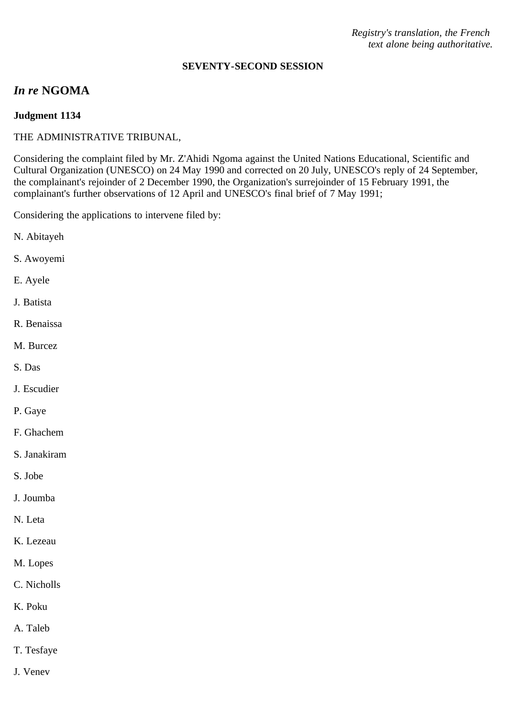*Registry's translation, the French text alone being authoritative.*

#### **SEVENTY-SECOND SESSION**

# *In re* **NGOMA**

# **Judgment 1134**

## THE ADMINISTRATIVE TRIBUNAL,

Considering the complaint filed by Mr. Z'Ahidi Ngoma against the United Nations Educational, Scientific and Cultural Organization (UNESCO) on 24 May 1990 and corrected on 20 July, UNESCO's reply of 24 September, the complainant's rejoinder of 2 December 1990, the Organization's surrejoinder of 15 February 1991, the complainant's further observations of 12 April and UNESCO's final brief of 7 May 1991;

Considering the applications to intervene filed by:

- N. Abitayeh
- S. Awoyemi
- E. Ayele
- J. Batista
- R. Benaissa
- M. Burcez
- S. Das
- J. Escudier
- P. Gaye
- F. Ghachem
- S. Janakiram
- S. Jobe
- J. Joumba
- N. Leta
- K. Lezeau
- M. Lopes
- C. Nicholls
- K. Poku
- A. Taleb
- T. Tesfaye
- J. Venev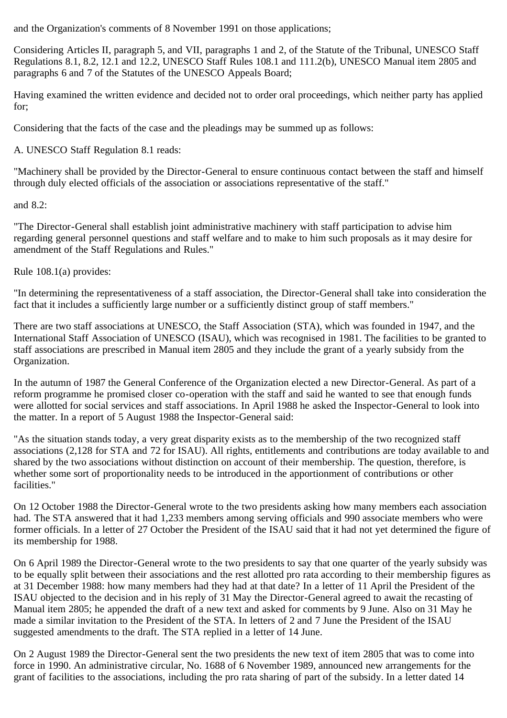and the Organization's comments of 8 November 1991 on those applications;

Considering Articles II, paragraph 5, and VII, paragraphs 1 and 2, of the Statute of the Tribunal, UNESCO Staff Regulations 8.1, 8.2, 12.1 and 12.2, UNESCO Staff Rules 108.1 and 111.2(b), UNESCO Manual item 2805 and paragraphs 6 and 7 of the Statutes of the UNESCO Appeals Board;

Having examined the written evidence and decided not to order oral proceedings, which neither party has applied for;

Considering that the facts of the case and the pleadings may be summed up as follows:

A. UNESCO Staff Regulation 8.1 reads:

"Machinery shall be provided by the Director-General to ensure continuous contact between the staff and himself through duly elected officials of the association or associations representative of the staff."

and 8.2:

"The Director-General shall establish joint administrative machinery with staff participation to advise him regarding general personnel questions and staff welfare and to make to him such proposals as it may desire for amendment of the Staff Regulations and Rules."

Rule 108.1(a) provides:

"In determining the representativeness of a staff association, the Director-General shall take into consideration the fact that it includes a sufficiently large number or a sufficiently distinct group of staff members."

There are two staff associations at UNESCO, the Staff Association (STA), which was founded in 1947, and the International Staff Association of UNESCO (ISAU), which was recognised in 1981. The facilities to be granted to staff associations are prescribed in Manual item 2805 and they include the grant of a yearly subsidy from the Organization.

In the autumn of 1987 the General Conference of the Organization elected a new Director-General. As part of a reform programme he promised closer co-operation with the staff and said he wanted to see that enough funds were allotted for social services and staff associations. In April 1988 he asked the Inspector-General to look into the matter. In a report of 5 August 1988 the Inspector-General said:

"As the situation stands today, a very great disparity exists as to the membership of the two recognized staff associations (2,128 for STA and 72 for ISAU). All rights, entitlements and contributions are today available to and shared by the two associations without distinction on account of their membership. The question, therefore, is whether some sort of proportionality needs to be introduced in the apportionment of contributions or other facilities."

On 12 October 1988 the Director-General wrote to the two presidents asking how many members each association had. The STA answered that it had 1,233 members among serving officials and 990 associate members who were former officials. In a letter of 27 October the President of the ISAU said that it had not yet determined the figure of its membership for 1988.

On 6 April 1989 the Director-General wrote to the two presidents to say that one quarter of the yearly subsidy was to be equally split between their associations and the rest allotted pro rata according to their membership figures as at 31 December 1988: how many members had they had at that date? In a letter of 11 April the President of the ISAU objected to the decision and in his reply of 31 May the Director-General agreed to await the recasting of Manual item 2805; he appended the draft of a new text and asked for comments by 9 June. Also on 31 May he made a similar invitation to the President of the STA. In letters of 2 and 7 June the President of the ISAU suggested amendments to the draft. The STA replied in a letter of 14 June.

On 2 August 1989 the Director-General sent the two presidents the new text of item 2805 that was to come into force in 1990. An administrative circular, No. 1688 of 6 November 1989, announced new arrangements for the grant of facilities to the associations, including the pro rata sharing of part of the subsidy. In a letter dated 14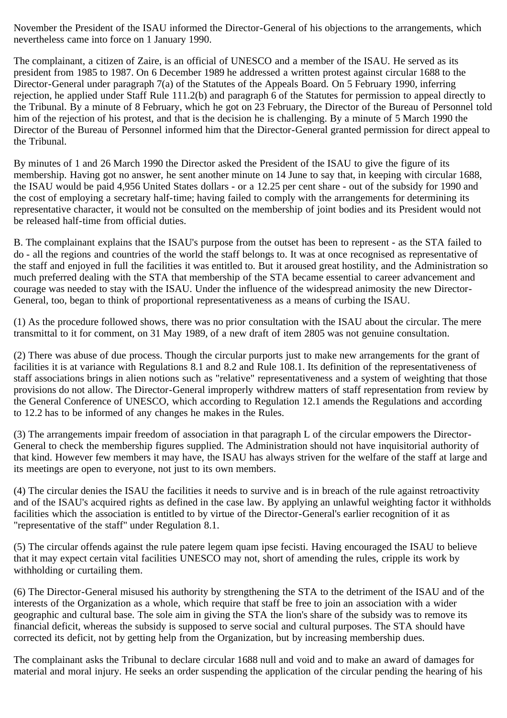November the President of the ISAU informed the Director-General of his objections to the arrangements, which nevertheless came into force on 1 January 1990.

The complainant, a citizen of Zaire, is an official of UNESCO and a member of the ISAU. He served as its president from 1985 to 1987. On 6 December 1989 he addressed a written protest against circular 1688 to the Director-General under paragraph 7(a) of the Statutes of the Appeals Board. On 5 February 1990, inferring rejection, he applied under Staff Rule 111.2(b) and paragraph 6 of the Statutes for permission to appeal directly to the Tribunal. By a minute of 8 February, which he got on 23 February, the Director of the Bureau of Personnel told him of the rejection of his protest, and that is the decision he is challenging. By a minute of 5 March 1990 the Director of the Bureau of Personnel informed him that the Director-General granted permission for direct appeal to the Tribunal.

By minutes of 1 and 26 March 1990 the Director asked the President of the ISAU to give the figure of its membership. Having got no answer, he sent another minute on 14 June to say that, in keeping with circular 1688, the ISAU would be paid 4,956 United States dollars - or a 12.25 per cent share - out of the subsidy for 1990 and the cost of employing a secretary half-time; having failed to comply with the arrangements for determining its representative character, it would not be consulted on the membership of joint bodies and its President would not be released half-time from official duties.

B. The complainant explains that the ISAU's purpose from the outset has been to represent - as the STA failed to do - all the regions and countries of the world the staff belongs to. It was at once recognised as representative of the staff and enjoyed in full the facilities it was entitled to. But it aroused great hostility, and the Administration so much preferred dealing with the STA that membership of the STA became essential to career advancement and courage was needed to stay with the ISAU. Under the influence of the widespread animosity the new Director-General, too, began to think of proportional representativeness as a means of curbing the ISAU.

(1) As the procedure followed shows, there was no prior consultation with the ISAU about the circular. The mere transmittal to it for comment, on 31 May 1989, of a new draft of item 2805 was not genuine consultation.

(2) There was abuse of due process. Though the circular purports just to make new arrangements for the grant of facilities it is at variance with Regulations 8.1 and 8.2 and Rule 108.1. Its definition of the representativeness of staff associations brings in alien notions such as "relative" representativeness and a system of weighting that those provisions do not allow. The Director-General improperly withdrew matters of staff representation from review by the General Conference of UNESCO, which according to Regulation 12.1 amends the Regulations and according to 12.2 has to be informed of any changes he makes in the Rules.

(3) The arrangements impair freedom of association in that paragraph L of the circular empowers the Director-General to check the membership figures supplied. The Administration should not have inquisitorial authority of that kind. However few members it may have, the ISAU has always striven for the welfare of the staff at large and its meetings are open to everyone, not just to its own members.

(4) The circular denies the ISAU the facilities it needs to survive and is in breach of the rule against retroactivity and of the ISAU's acquired rights as defined in the case law. By applying an unlawful weighting factor it withholds facilities which the association is entitled to by virtue of the Director-General's earlier recognition of it as "representative of the staff" under Regulation 8.1.

(5) The circular offends against the rule patere legem quam ipse fecisti. Having encouraged the ISAU to believe that it may expect certain vital facilities UNESCO may not, short of amending the rules, cripple its work by withholding or curtailing them.

(6) The Director-General misused his authority by strengthening the STA to the detriment of the ISAU and of the interests of the Organization as a whole, which require that staff be free to join an association with a wider geographic and cultural base. The sole aim in giving the STA the lion's share of the subsidy was to remove its financial deficit, whereas the subsidy is supposed to serve social and cultural purposes. The STA should have corrected its deficit, not by getting help from the Organization, but by increasing membership dues.

The complainant asks the Tribunal to declare circular 1688 null and void and to make an award of damages for material and moral injury. He seeks an order suspending the application of the circular pending the hearing of his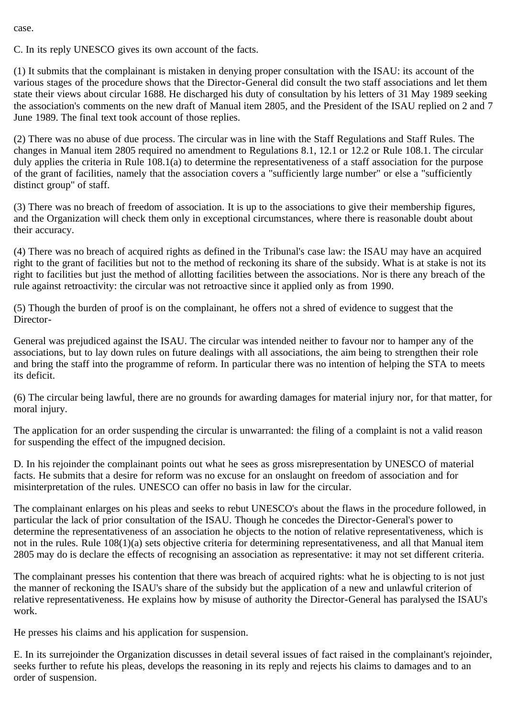case.

C. In its reply UNESCO gives its own account of the facts.

(1) It submits that the complainant is mistaken in denying proper consultation with the ISAU: its account of the various stages of the procedure shows that the Director-General did consult the two staff associations and let them state their views about circular 1688. He discharged his duty of consultation by his letters of 31 May 1989 seeking the association's comments on the new draft of Manual item 2805, and the President of the ISAU replied on 2 and 7 June 1989. The final text took account of those replies.

(2) There was no abuse of due process. The circular was in line with the Staff Regulations and Staff Rules. The changes in Manual item 2805 required no amendment to Regulations 8.1, 12.1 or 12.2 or Rule 108.1. The circular duly applies the criteria in Rule 108.1(a) to determine the representativeness of a staff association for the purpose of the grant of facilities, namely that the association covers a "sufficiently large number" or else a "sufficiently distinct group" of staff.

(3) There was no breach of freedom of association. It is up to the associations to give their membership figures, and the Organization will check them only in exceptional circumstances, where there is reasonable doubt about their accuracy.

(4) There was no breach of acquired rights as defined in the Tribunal's case law: the ISAU may have an acquired right to the grant of facilities but not to the method of reckoning its share of the subsidy. What is at stake is not its right to facilities but just the method of allotting facilities between the associations. Nor is there any breach of the rule against retroactivity: the circular was not retroactive since it applied only as from 1990.

(5) Though the burden of proof is on the complainant, he offers not a shred of evidence to suggest that the Director-

General was prejudiced against the ISAU. The circular was intended neither to favour nor to hamper any of the associations, but to lay down rules on future dealings with all associations, the aim being to strengthen their role and bring the staff into the programme of reform. In particular there was no intention of helping the STA to meets its deficit.

(6) The circular being lawful, there are no grounds for awarding damages for material injury nor, for that matter, for moral injury.

The application for an order suspending the circular is unwarranted: the filing of a complaint is not a valid reason for suspending the effect of the impugned decision.

D. In his rejoinder the complainant points out what he sees as gross misrepresentation by UNESCO of material facts. He submits that a desire for reform was no excuse for an onslaught on freedom of association and for misinterpretation of the rules. UNESCO can offer no basis in law for the circular.

The complainant enlarges on his pleas and seeks to rebut UNESCO's about the flaws in the procedure followed, in particular the lack of prior consultation of the ISAU. Though he concedes the Director-General's power to determine the representativeness of an association he objects to the notion of relative representativeness, which is not in the rules. Rule 108(1)(a) sets objective criteria for determining representativeness, and all that Manual item 2805 may do is declare the effects of recognising an association as representative: it may not set different criteria.

The complainant presses his contention that there was breach of acquired rights: what he is objecting to is not just the manner of reckoning the ISAU's share of the subsidy but the application of a new and unlawful criterion of relative representativeness. He explains how by misuse of authority the Director-General has paralysed the ISAU's work.

He presses his claims and his application for suspension.

E. In its surrejoinder the Organization discusses in detail several issues of fact raised in the complainant's rejoinder, seeks further to refute his pleas, develops the reasoning in its reply and rejects his claims to damages and to an order of suspension.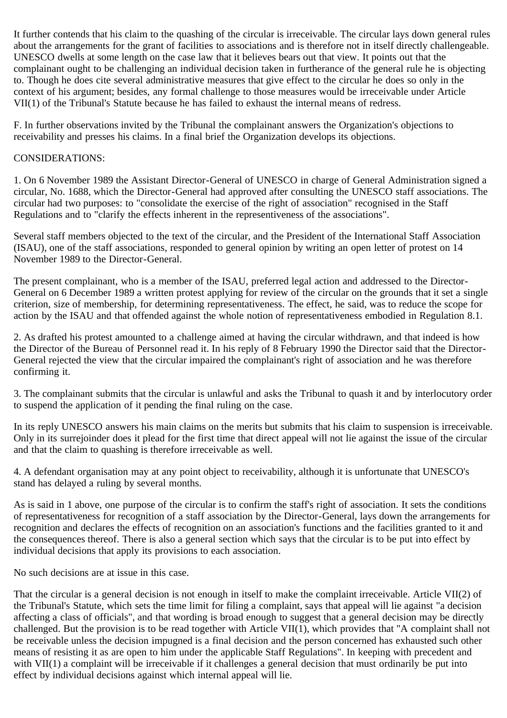It further contends that his claim to the quashing of the circular is irreceivable. The circular lays down general rules about the arrangements for the grant of facilities to associations and is therefore not in itself directly challengeable. UNESCO dwells at some length on the case law that it believes bears out that view. It points out that the complainant ought to be challenging an individual decision taken in furtherance of the general rule he is objecting to. Though he does cite several administrative measures that give effect to the circular he does so only in the context of his argument; besides, any formal challenge to those measures would be irreceivable under Article VII(1) of the Tribunal's Statute because he has failed to exhaust the internal means of redress.

F. In further observations invited by the Tribunal the complainant answers the Organization's objections to receivability and presses his claims. In a final brief the Organization develops its objections.

## CONSIDERATIONS:

1. On 6 November 1989 the Assistant Director-General of UNESCO in charge of General Administration signed a circular, No. 1688, which the Director-General had approved after consulting the UNESCO staff associations. The circular had two purposes: to "consolidate the exercise of the right of association" recognised in the Staff Regulations and to "clarify the effects inherent in the representiveness of the associations".

Several staff members objected to the text of the circular, and the President of the International Staff Association (ISAU), one of the staff associations, responded to general opinion by writing an open letter of protest on 14 November 1989 to the Director-General.

The present complainant, who is a member of the ISAU, preferred legal action and addressed to the Director-General on 6 December 1989 a written protest applying for review of the circular on the grounds that it set a single criterion, size of membership, for determining representativeness. The effect, he said, was to reduce the scope for action by the ISAU and that offended against the whole notion of representativeness embodied in Regulation 8.1.

2. As drafted his protest amounted to a challenge aimed at having the circular withdrawn, and that indeed is how the Director of the Bureau of Personnel read it. In his reply of 8 February 1990 the Director said that the Director-General rejected the view that the circular impaired the complainant's right of association and he was therefore confirming it.

3. The complainant submits that the circular is unlawful and asks the Tribunal to quash it and by interlocutory order to suspend the application of it pending the final ruling on the case.

In its reply UNESCO answers his main claims on the merits but submits that his claim to suspension is irreceivable. Only in its surrejoinder does it plead for the first time that direct appeal will not lie against the issue of the circular and that the claim to quashing is therefore irreceivable as well.

4. A defendant organisation may at any point object to receivability, although it is unfortunate that UNESCO's stand has delayed a ruling by several months.

As is said in 1 above, one purpose of the circular is to confirm the staff's right of association. It sets the conditions of representativeness for recognition of a staff association by the Director-General, lays down the arrangements for recognition and declares the effects of recognition on an association's functions and the facilities granted to it and the consequences thereof. There is also a general section which says that the circular is to be put into effect by individual decisions that apply its provisions to each association.

No such decisions are at issue in this case.

That the circular is a general decision is not enough in itself to make the complaint irreceivable. Article VII(2) of the Tribunal's Statute, which sets the time limit for filing a complaint, says that appeal will lie against "a decision affecting a class of officials", and that wording is broad enough to suggest that a general decision may be directly challenged. But the provision is to be read together with Article VII(1), which provides that "A complaint shall not be receivable unless the decision impugned is a final decision and the person concerned has exhausted such other means of resisting it as are open to him under the applicable Staff Regulations". In keeping with precedent and with VII(1) a complaint will be irreceivable if it challenges a general decision that must ordinarily be put into effect by individual decisions against which internal appeal will lie.